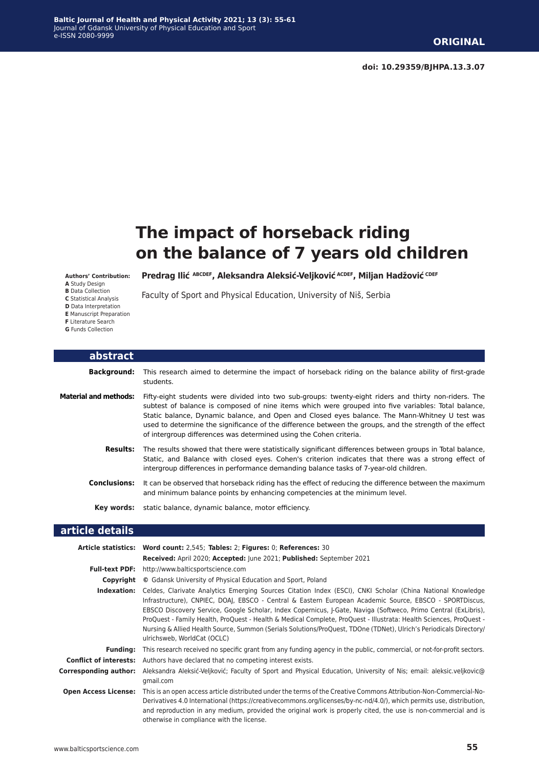# **The impact of horseback riding on the balance of 7 years old children**

**Authors' Contribution:**

- **A** Study Design **B** Data Collection **C** Statistical Analysis
- **D** Data Interpretation
- **E** Manuscript Preparation **F** Literature Search

**G** Funds Collection

**Predrag Ilić ABCDEF, Aleksandra Aleksić-Veljković ACDEF, Miljan Hadžović CDEF** 

Faculty of Sport and Physical Education, University of Niš, Serbia

| <b>abstract</b>              |                                                                                                                                                                                                                                                                                                                                                                                                                                                                                                 |
|------------------------------|-------------------------------------------------------------------------------------------------------------------------------------------------------------------------------------------------------------------------------------------------------------------------------------------------------------------------------------------------------------------------------------------------------------------------------------------------------------------------------------------------|
| <b>Background:</b>           | This research aimed to determine the impact of horseback riding on the balance ability of first-grade<br>students.                                                                                                                                                                                                                                                                                                                                                                              |
| <b>Material and methods:</b> | Fifty-eight students were divided into two sub-groups: twenty-eight riders and thirty non-riders. The<br>subtest of balance is composed of nine items which were grouped into five variables: Total balance,<br>Static balance, Dynamic balance, and Open and Closed eyes balance. The Mann-Whitney U test was<br>used to determine the significance of the difference between the groups, and the strength of the effect<br>of intergroup differences was determined using the Cohen criteria. |
| <b>Results:</b>              | The results showed that there were statistically significant differences between groups in Total balance,<br>Static, and Balance with closed eyes. Cohen's criterion indicates that there was a strong effect of<br>intergroup differences in performance demanding balance tasks of 7-year-old children.                                                                                                                                                                                       |
| <b>Conclusions:</b>          | It can be observed that horseback riding has the effect of reducing the difference between the maximum<br>and minimum balance points by enhancing competencies at the minimum level.                                                                                                                                                                                                                                                                                                            |
|                              | Key words: static balance, dynamic balance, motor efficiency.                                                                                                                                                                                                                                                                                                                                                                                                                                   |
| article details              |                                                                                                                                                                                                                                                                                                                                                                                                                                                                                                 |
|                              | Article statistics: Word count: 2,545; Tables: 2; Figures: 0; References: 30<br>Received: April 2020; Accepted: June 2021; Published: September 2021                                                                                                                                                                                                                                                                                                                                            |
|                              | <b>Full-text PDF:</b> http://www.balticsportscience.com                                                                                                                                                                                                                                                                                                                                                                                                                                         |
|                              | <b>Copyright</b> © Gdansk University of Physical Education and Sport, Poland                                                                                                                                                                                                                                                                                                                                                                                                                    |

**Indexation:** Celdes, Clarivate Analytics Emerging Sources Citation Index (ESCI), CNKI Scholar (China National Knowledge Infrastructure), CNPIEC, DOAJ, EBSCO - Central & Eastern European Academic Source, EBSCO - SPORTDiscus, EBSCO Discovery Service, Google Scholar, Index Copernicus, J-Gate, Naviga (Softweco, Primo Central (ExLibris), ProQuest - Family Health, ProQuest - Health & Medical Complete, ProQuest - Illustrata: Health Sciences, ProQuest - Nursing & Allied Health Source, Summon (Serials Solutions/ProQuest, TDOne (TDNet), Ulrich's Periodicals Directory/ ulrichsweb, WorldCat (OCLC) **Funding:** This research received no specific grant from any funding agency in the public, commercial, or not-for-profit sectors.

**Conflict of interests:** Authors have declared that no competing interest exists. **Corresponding author:** Aleksandra Aleksić-Veljković; Faculty of Sport and Physical Education, University of Nis; email: aleksic.veljkovic@ gmail.com **Open Access License:** This is an open access article distributed under the terms of the Creative Commons Attribution-Non-Commercial-No-

Derivatives 4.0 International (https://creativecommons.org/licenses/by-nc-nd/4.0/), which permits use, distribution, and reproduction in any medium, provided the original work is properly cited, the use is non-commercial and is otherwise in compliance with the license.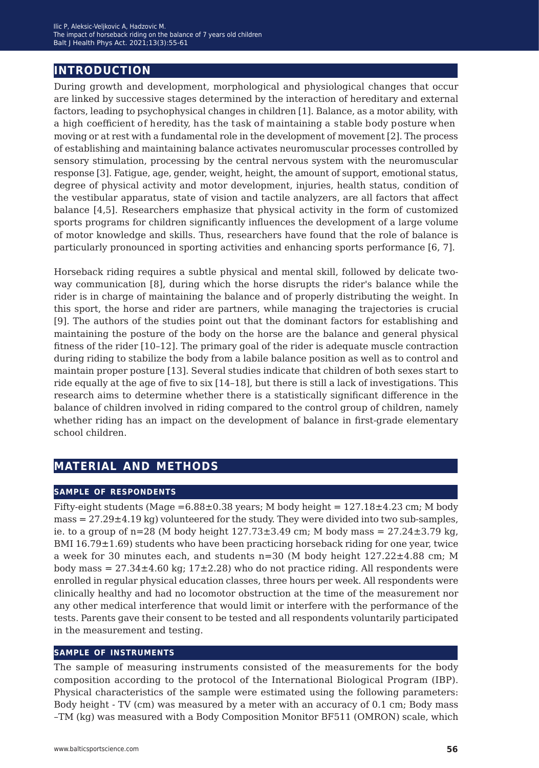# **introduction**

During growth and development, morphological and physiological changes that occur are linked by successive stages determined by the interaction of hereditary and external factors, leading to psychophysical changes in children [1]. Balance, as a motor ability, with a high coefficient of heredity, has the task of maintaining a stable body posture when moving or at rest with a fundamental role in the development of movement [2]. The process of establishing and maintaining balance activates neuromuscular processes controlled by sensory stimulation, processing by the central nervous system with the neuromuscular response [3]. Fatigue, age, gender, weight, height, the amount of support, emotional status, degree of physical activity and motor development, injuries, health status, condition of the vestibular apparatus, state of vision and tactile analyzers, are all factors that affect balance [4,5]. Researchers emphasize that physical activity in the form of customized sports programs for children significantly influences the development of a large volume of motor knowledge and skills. Thus, researchers have found that the role of balance is particularly pronounced in sporting activities and enhancing sports performance [6, 7].

Horseback riding requires a subtle physical and mental skill, followed by delicate twoway communication [8], during which the horse disrupts the rider's balance while the rider is in charge of maintaining the balance and of properly distributing the weight. In this sport, the horse and rider are partners, while managing the trajectories is crucial [9]. The authors of the studies point out that the dominant factors for establishing and maintaining the posture of the body on the horse are the balance and general physical fitness of the rider [10–12]. The primary goal of the rider is adequate muscle contraction during riding to stabilize the body from a labile balance position as well as to control and maintain proper posture [13]. Several studies indicate that children of both sexes start to ride equally at the age of five to six [14–18], but there is still a lack of investigations. This research aims to determine whether there is a statistically significant difference in the balance of children involved in riding compared to the control group of children, namely whether riding has an impact on the development of balance in first-grade elementary school children.

# **material and methods**

#### **sample of respondents**

Fifty-eight students (Mage = $6.88\pm0.38$  years; M body height =  $127.18\pm4.23$  cm; M body mass  $= 27.29 \pm 4.19$  kg) volunteered for the study. They were divided into two sub-samples, ie. to a group of  $n=28$  (M body height  $127.73\pm3.49$  cm; M body mass  $= 27.24\pm3.79$  kg, BMI  $16.79 \pm 1.69$ ) students who have been practicing horseback riding for one year, twice a week for 30 minutes each, and students  $n=30$  (M body height  $127.22\pm4.88$  cm; M body mass  $= 27.34 \pm 4.60$  kg; 17 $\pm 2.28$ ) who do not practice riding. All respondents were enrolled in regular physical education classes, three hours per week. All respondents were clinically healthy and had no locomotor obstruction at the time of the measurement nor any other medical interference that would limit or interfere with the performance of the tests. Parents gave their consent to be tested and all respondents voluntarily participated in the measurement and testing.

#### **sample of instruments**

The sample of measuring instruments consisted of the measurements for the body composition according to the protocol of the International Biological Program (IBP). Physical characteristics of the sample were estimated using the following parameters: Body height - TV (cm) was measured by a meter with an accuracy of 0.1 cm; Body mass  $-TM$  (kg) was measured with a Body Composition Monitor BF511 (OMRON) scale, which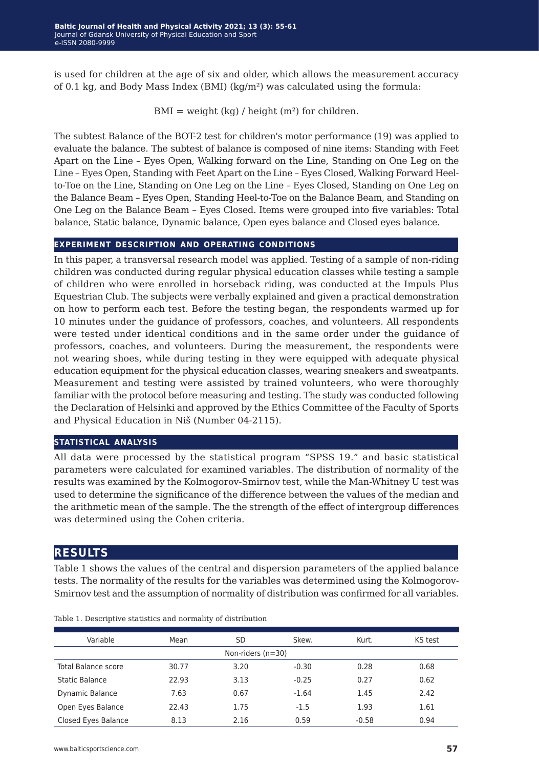is used for children at the age of six and older, which allows the measurement accuracy of 0.1 kg, and Body Mass Index (BMI) ( $kq/m^2$ ) was calculated using the formula:

 $BMI = weight (kg) / height (m<sup>2</sup>) for children.$ 

The subtest Balance of the BOT-2 test for children's motor performance (19) was applied to evaluate the balance. The subtest of balance is composed of nine items: Standing with Feet Apart on the Line – Eyes Open, Walking forward on the Line, Standing on One Leg on the Line – Eyes Open, Standing with Feet Apart on the Line – Eyes Closed, Walking Forward Heelto-Toe on the Line, Standing on One Leg on the Line – Eyes Closed, Standing on One Leg on the Balance Beam – Eyes Open, Standing Heel-to-Toe on the Balance Beam, and Standing on One Leg on the Balance Beam – Eyes Closed. Itemswere grouped into five variables: Total balance, Static balance, Dynamic balance, Open eyes balance and Closed eyes balance.

### **experiment description and operating conditions**

In this paper, a transversal research model was applied. Testing of a sample of non-riding children was conducted during regular physical education classes while testing a sample of children who were enrolled in horseback riding, was conducted at the Impuls Plus Equestrian Club. The subjectswere verbally explained and given a practical demonstration on how to perform each test. Before the testing began, the respondents warmed up for 10 minutes under the guidance of professors, coaches, and volunteers. All respondents were tested under identical conditions and in the same order under the guidance of professors, coaches, and volunteers. During the measurement, the respondents were not wearing shoes, while during testing in they were equipped with adequate physical education equipment for the physical education classes, wearing sneakers and sweatpants. Measurement and testing were assisted by trained volunteers, who were thoroughly familiar with the protocol before measuring and testing. The study was conducted following the Declaration of Helsinki and approved by the Ethics Committee of the Faculty of Sports and Physical Education in Niš (Number 04-2115).

#### **statistical analysis**

All data were processed by the statistical program "SPSS 19." and basic statistical parameters were calculated for examined variables. The distribution of normality of the results was examined by the Kolmogorov-Smirnov test, while the Man-Whitney U test was used to determine the significance of the difference between the values of the median and the arithmetic mean of the sample. The the strength of the effect of intergroupdifferences was determined using the Cohen criteria.

# **results**

Table 1 shows the values of the central and dispersion parameters of the applied balance tests. The normality of the results for the variables was determined using the Kolmogorov-Smirnov test and the assumption of normality of distribution was confirmed for all variables.

| Variable               | Mean  | SD   | Skew.   | Kurt.   | KS test |  |
|------------------------|-------|------|---------|---------|---------|--|
| Non-riders $(n=30)$    |       |      |         |         |         |  |
| Total Balance score    | 30.77 | 3.20 | $-0.30$ | 0.28    | 0.68    |  |
| Static Balance         | 22.93 | 3.13 | $-0.25$ | 0.27    | 0.62    |  |
| <b>Dynamic Balance</b> | 7.63  | 0.67 | $-1.64$ | 1.45    | 2.42    |  |
| Open Eyes Balance      | 22.43 | 1.75 | $-1.5$  | 1.93    | 1.61    |  |
| Closed Eyes Balance    | 8.13  | 2.16 | 0.59    | $-0.58$ | 0.94    |  |

Table 1. Descriptive statistics and normality of distribution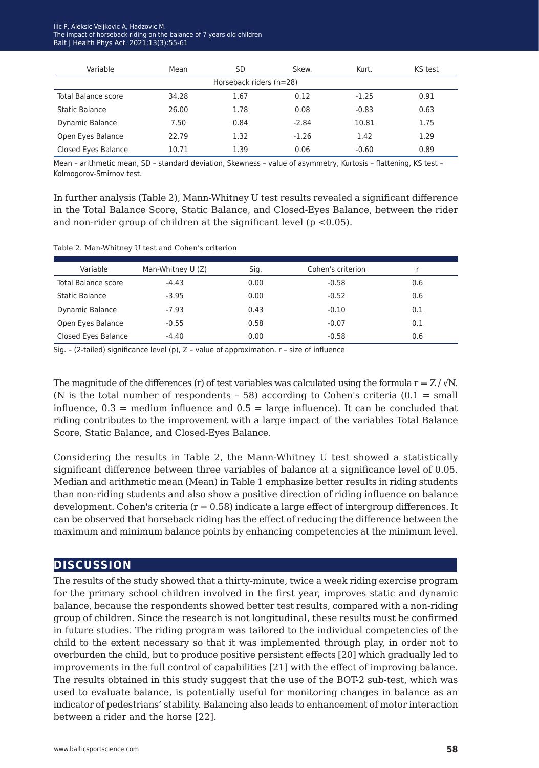#### Ilic P, Aleksic-Veljkovic A, Hadzovic M. The impact of horseback riding on the balance of 7 years old children Balt J Health Phys Act. 2021;13(3):55-61

| Variable                | Mean  | SD   | Skew.   | Kurt.   | KS test |  |
|-------------------------|-------|------|---------|---------|---------|--|
| Horseback riders (n=28) |       |      |         |         |         |  |
| Total Balance score     | 34.28 | 1.67 | 0.12    | $-1.25$ | 0.91    |  |
| Static Balance          | 26.00 | 1.78 | 0.08    | $-0.83$ | 0.63    |  |
| <b>Dynamic Balance</b>  | 7.50  | 0.84 | $-2.84$ | 10.81   | 1.75    |  |
| Open Eyes Balance       | 22.79 | 1.32 | $-1.26$ | 1.42    | 1.29    |  |
| Closed Eyes Balance     | 10.71 | 1.39 | 0.06    | $-0.60$ | 0.89    |  |

Mean – arithmetic mean, SD – standard deviation, Skewness – value of asymmetry, Kurtosis – flattening, KS test – Kolmogorov-Smirnov test.

In further analysis (Table 2), Mann-Whitney U test results revealed a significant difference in the Total Balance Score, Static Balance, and Closed-Eyes Balance, between the rider and non-rider group of children at the significant level ( $p < 0.05$ ).

Table 2. Man-Whitney U test and Cohen's criterion

| Variable            | Man-Whitney U (Z) | Sig. | Cohen's criterion |     |
|---------------------|-------------------|------|-------------------|-----|
| Total Balance score | $-4.43$           | 0.00 | $-0.58$           | 0.6 |
| Static Balance      | $-3.95$           | 0.00 | $-0.52$           | 0.6 |
| Dynamic Balance     | $-7.93$           | 0.43 | $-0.10$           | 0.1 |
| Open Eyes Balance   | $-0.55$           | 0.58 | $-0.07$           | 0.1 |
| Closed Eyes Balance | $-4.40$           | 0.00 | $-0.58$           | 0.6 |

Sig. – (2-tailed) significance level (p), Z – value of approximation. r – size of influence

The magnitude of the differences (r) of test variables was calculated using the formula  $r = Z / \sqrt{N}$ . (N is the total number of respondents  $-58$ ) according to Cohen's criteria (0.1 = small influence,  $0.3$  = medium influence and  $0.5$  = large influence). It can be concluded that riding contributes to the improvement with a large impact of the variables Total Balance Score, Static Balance, and Closed-Eyes Balance.

Considering the results in Table 2, the Mann-Whitney U test showed a statistically significant difference between three variables of balance at a significance level of 0.05. Median and arithmetic mean (Mean) in Table 1 emphasize better results in riding students than non-riding students and also show a positive direction of riding influence on balance development. Cohen's criteria  $(r = 0.58)$  indicate a large effect of intergroup differences. It can be observed that horseback riding has the effect of reducing the difference between the maximum and minimum balance points by enhancing competencies at the minimum level.

# **discussion**

The results of the study showed that a thirty-minute, twice a week riding exercise program for the primary school children involved in the first year, improves static and dynamic balance, because the respondents showed better test results, compared with a non-riding group of children. Since the research is not longitudinal, these resultsmust be confirmed in future studies. The riding program was tailored to the individual competencies of the child to the extent necessary so that it was implemented through play, in order not to overburden the child, but to produce positive persistent effects [20] which gradually led to improvements in the full control of capabilities [21] with the effect of improving balance. The results obtained in this study suggest that the use of the BOT-2 sub-test, which was used to evaluate balance, is potentially useful for monitoring changes in balance as an indicator of pedestrians' stability. Balancing also leads to enhancement of motor interaction between a rider and the horse [22].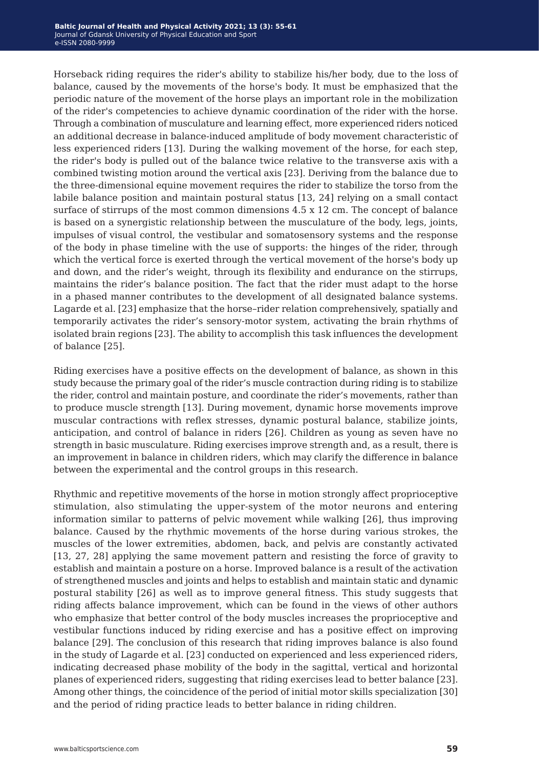Horseback riding requires the rider's ability to stabilize his/her body, due to the loss of balance, caused by the movements of the horse's body. It must be emphasized that the periodic nature of the movement of the horse plays an important role in the mobilization of the rider's competencies to achieve dynamic coordination of the rider with the horse. Through a combination of musculature and learning effect, more experienced riders noticed an additional decrease in balance-induced amplitude of body movement characteristic of less experienced riders [13]. During the walking movement of the horse, for each step, the rider's body is pulled out of the balance twice relative to the transverse axis with a combined twisting motion around the vertical axis [23]. Deriving from the balance due to the three-dimensional equine movement requires the rider to stabilize the torso from the labile balance position and maintain postural status [13, 24] relying on a small contact surface of stirrups of the most common dimensions 4.5 x 12 cm. The concept of balance is based on a synergistic relationship between the musculature of the body, legs, joints, impulses of visual control, the vestibular and somatosensory systems and the response of the body in phase timeline with the use of supports: the hinges of the rider, through which the vertical force is exerted through the vertical movement of the horse's body up and down, and the rider's weight, through its flexibility and endurance on the stirrups, maintains the rider's balance position. The fact that the rider must adapt to the horse in a phased manner contributes to the development of all designated balance systems. Lagarde et al. [23] emphasize that the horse–rider relation comprehensively, spatially and temporarily activates the rider's sensory-motor system, activating the brain rhythms of isolated brain regions [23]. The ability to accomplish this task influences the development of balance [25].

Riding exercises have a positive effects on the development of balance, as shown in this study because the primary goal of the rider's muscle contraction during riding is to stabilize the rider, control and maintain posture, and coordinate the rider's movements, rather than to produce muscle strength [13]. During movement, dynamic horse movements improve muscular contractionswith reflex stresses, dynamic postural balance, stabilize joints, anticipation, and control of balance in riders [26]. Children as young as seven have no strength in basic musculature. Riding exercises improve strength and, as a result, there is an improvement in balance in children riders, which may clarify the difference in balance between the experimental and the control groups in this research.

Rhythmic and repetitive movements of the horse in motion strongly affect proprioceptive stimulation, also stimulating the upper-system of the motor neurons and entering information similar to patterns of pelvic movement while walking [26], thus improving balance. Caused by the rhythmic movements of the horse during various strokes, the muscles of the lower extremities, abdomen, back, and pelvis are constantly activated [13, 27, 28] applying the same movement pattern and resisting the force of gravity to establish and maintain a posture on a horse. Improved balance is a result of the activation of strengthened muscles and joints and helps to establish and maintain static and dynamic postural stability [26] aswell as to improve general fitness. This study suggests that riding affects balance improvement, which can be found in the views of other authors who emphasize that better control of the body muscles increases the proprioceptive and vestibular functions induced by riding exercise and has a positive effect on improving balance [29]. The conclusion of this research that riding improves balance is also found in the study of Lagarde et al. [23] conducted on experienced and less experienced riders, indicating decreased phase mobility of the body in the sagittal, vertical and horizontal planes of experienced riders, suggesting that riding exercises lead to better balance [23]. Among other things, the coincidence of the period of initial motor skills specialization [30] and the period of riding practice leads to better balance in riding children.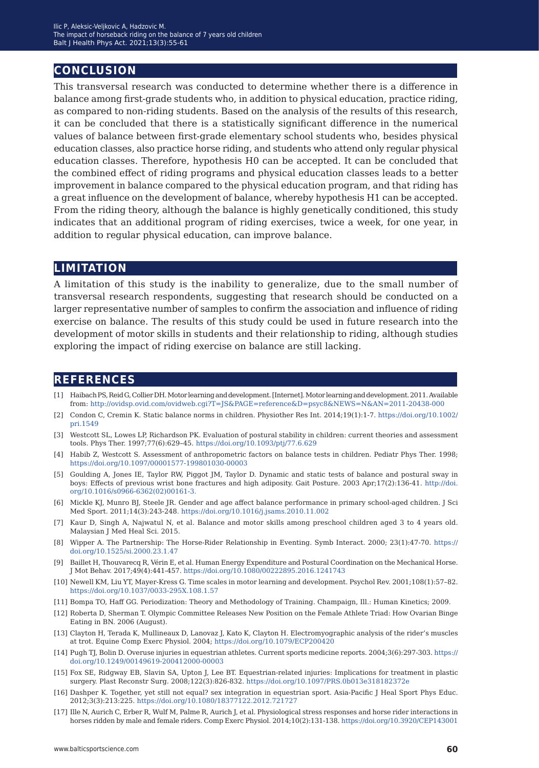# **conclusion**

This transversal research was conducted to determine whether there is a difference in balance among first-grade students who, in addition to physical education, practice riding, as compared to non-riding students. Based on the analysis of the results of this research, it can be concluded that there is a statistically significant difference in the numerical values of balance between first-grade elementary school students who, besides physical education classes, also practice horse riding, and students who attend only regular physical education classes. Therefore, hypothesis H0 can be accepted. It can be concluded that the combined effect of riding programs and physical education classes leads to a better improvement in balance compared to the physical education program, and that riding has a great influence on the development of balance, whereby hypothesis H1 can be accepted. From the riding theory, although the balance is highly genetically conditioned, this study indicates that an additional program of riding exercises, twice a week, for one year, in addition to regular physical education, can improve balance.

## **limitation**

A limitation of this study is the inability to generalize, due to the small number of transversal research respondents, suggesting that research should be conducted on a larger representative number of samples to confirmthe association and influence of riding exercise on balance. The results of this study could be used in future research into the development of motor skills in students and their relationship to riding, although studies exploring the impact of riding exercise on balance are still lacking.

#### **references**

- [1] Haibach PS, Reid G, Collier DH. Motor learning and development. [Internet]. Motor learning and development. 2011. Available from: <http://ovidsp.ovid.com/ovidweb.cgi?T=JS&PAGE=reference&D=psyc8&NEWS=N&AN=2011-20438-000>
- [2] Condon C, Cremin K. Static balance norms in children. Physiother Res Int. 2014;19(1):1-7. [https://doi.org/10.1002/](https://doi.org/10.1002/pri.1549) [pri.1549](https://doi.org/10.1002/pri.1549)
- [3] Westcott SL, Lowes LP, Richardson PK. Evaluation of postural stability in children: current theories and assessment tools. Phys Ther. 1997;77(6):629–45.<https://doi.org/10.1093/ptj/77.6.629>
- [4] Habib Z, Westcott S. Assessment of anthropometric factors on balance tests in children. Pediatr Phys Ther. 1998; <https://doi.org/10.1097/00001577-199801030-00003>
- [5] Goulding A, Jones IE, Taylor RW, Piggot JM, Taylor D. Dynamic and static tests of balance andpostural sway in boys: Effects of previous wrist bone fractures and high adiposity. Gait Posture. 2003 Apr;17(2):136-41. [http://doi.](http://doi.org/10.1016/s0966-6362(02)00161-3. ) [org/10.1016/s0966-6362\(02\)00161-3.](http://doi.org/10.1016/s0966-6362(02)00161-3. )
- [6] Mickle KJ, Munro BJ, Steele JR. Gender and age affect balance performance inprimary school-aged children. J Sci Med Sport. 2011;14(3):243-248[. https://doi.org/10.1016/j.jsams.2010.11.002]( https://doi.org/10.1016/j.jsams.2010.11.002)
- [7] Kaur D, Singh A, Najwatul N, et al. Balance and motor skills among preschool children aged 3 to 4 years old. Malaysian J Med Heal Sci. 2015.
- [8] Wipper A. The Partnership: The Horse-Rider Relationship in Eventing. Symb Interact. 2000; 23(1):47-70. [https://](https://doi.org/10.1525/si.2000.23.1.47) [doi.org/10.1525/si.2000.23.1.47](https://doi.org/10.1525/si.2000.23.1.47)
- [9] Baillet H, Thouvarecq R, Vérin E, et al. Human Energy Expenditure and Postural Coordination on the Mechanical Horse. J Mot Behav. 2017;49(4):441-457.<https://doi.org/10.1080/00222895.2016.1241743>
- [10] Newell KM, Liu YT, Mayer-Kress G. Time scales inmotor learning and development. Psychol Rev. 2001;108(1):57–82. [https://doi.org/10.1037/0033-295X.108.1.57](https://doi.org/10.1037/0033-295X.108.1.57 )
- [11] Bompa TO, Haff GG. Periodization: Theory and Methodology of Training. Champaign, Ill.: Human Kinetics; 2009.
- [12] Roberta D, Sherman T. Olympic Committee Releases New Position on the Female Athlete Triad: How Ovarian Binge Eating in BN. 2006 (August).
- [13] Clayton H, Terada K, Mullineaux D, Lanovaz J, Kato K, Clayton H. Electromyographic analysis of the rider's muscles at trot. Equine Comp Exerc Physiol. 2004; <https://doi.org/10.1079/ECP200420>
- [14] Pugh TJ, Bolin D. Overuse injuries in equestrian athletes. Current sportsmedicine reports. 2004;3(6):297-303. [https://](https://doi.org/10.1249/00149619-200412000-00003) [doi.org/10.1249/00149619-200412000-00003](https://doi.org/10.1249/00149619-200412000-00003)
- [15] Fox SE, Ridgway EB, Slavin SA, Upton J, Lee BT. Equestrian-related injuries: Implications for treatment inplastic surgery. Plast Reconstr Surg. 2008;122(3):826-832.<https://doi.org/10.1097/PRS.0b013e318182372e>
- [16] Dashper K. Together, yet still not equal? sex integration in equestrian sport. Asia-Pacific J Heal Sport Phys Educ. 2012;3(3):213:225. [https://doi.org/10.1080/18377122.2012.721727](https://doi.org/10.1080/18377122.2012.721727 )
- [17] Ille N, Aurich C, Erber R, Wulf M, Palme R, Aurich J, et al. Physiological stress responses and horse rider interactions in horses ridden bymale and female riders. Comp Exerc Physiol. 2014;10(2):131-138.<https://doi.org/10.3920/CEP143001>